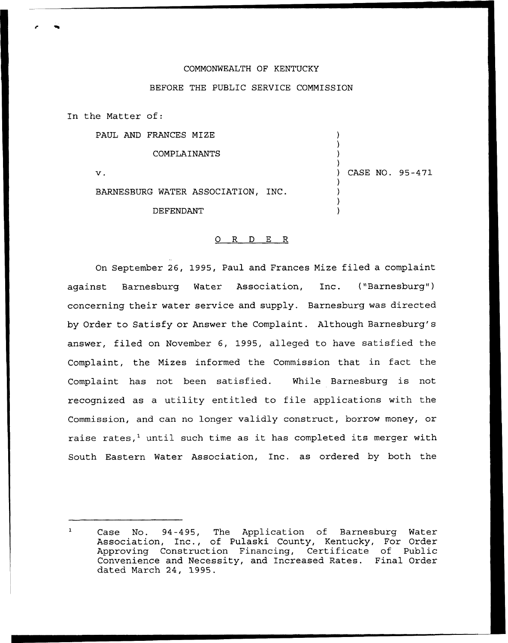## COMMONWEALTH OF KENTUCKY

## BEFORE THE PUBLIC SERVICE COMMISSION

In the Matter of:

PAUL AND FRANCES MIZE

) COMPLAINANTS ) ) ) CASE NO. 95-471 v. ) BARNESBURG WATER ASSOCIATION, INC. ) ) DEFENDANT )

)

## 0 R <sup>D</sup> E R

On September 26, 1995, Paul and Frances Mize filed a complaint against Barnesburg Water Association, Inc. ("Barnesburg") concerning their water service and supply. Barnesburg was directed by Order to Satisfy or Answer the Complaint. Although Barnesburg's answer, filed on November 6, 1995, alleged to have satisfied the Complaint, the Mizes informed the Commission that in fact the Complaint has not been satisfied. While Barnesburg is not recognized as <sup>a</sup> utility entitled to file applications with the Commission, and can no longer validly construct, borrow money, or raise rates, $<sup>1</sup>$  until such time as it has completed its merger with</sup> South Eastern Water Association, Inc. as ordered by both the

Case No. 94-495, The Application of Barnesburg Water Association, Inc., of Pulaski County, Kentucky, For Order Approving Construction Financing, Certificate of Public Convenience and Necessity, and Increased Rates. Final Order dated March 24, 1995.